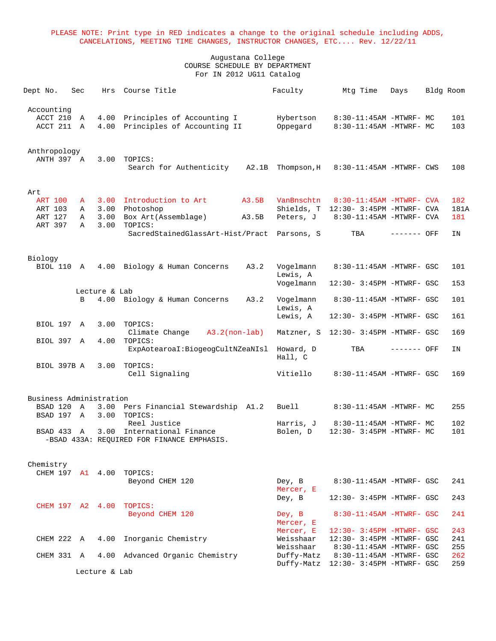| Dept No.                           | Sec    | Hrs                   | Course Title                                                                        | Faculty               | Mtg Time                                                         | Days        | Bldg Room   |
|------------------------------------|--------|-----------------------|-------------------------------------------------------------------------------------|-----------------------|------------------------------------------------------------------|-------------|-------------|
| Accounting<br>ACCT 210<br>ACCT 211 | Α<br>Α | 4.00<br>4.00          | Principles of Accounting I<br>Principles of Accounting II                           | Hybertson<br>Oppegard | 8:30-11:45AM -MTWRF- MC<br>8:30-11:45AM -MTWRF- MC               |             | 101<br>103  |
| Anthropology<br>ANTH 397 A         |        | 3.00                  | TOPICS:<br>Search for Authenticity<br>A2.1B                                         | Thompson, H           | 8:30-11:45AM -MTWRF- CWS                                         |             | 108         |
| Art                                |        |                       |                                                                                     |                       |                                                                  |             |             |
| <b>ART 100</b>                     | A      | 3.00                  | Introduction to Art<br>A3.5B                                                        | VanBnschtn            | $8:30-11:45AM$ -MTWRF- CVA                                       |             | 182         |
| ART 103<br>ART 127                 | Α<br>Α | 3.00<br>3.00          | Photoshop                                                                           |                       | Shields, T 12:30- 3:45PM -MTWRF- CVA<br>8:30-11:45AM -MTWRF- CVA |             | 181A<br>181 |
| ART 397                            | A      | 3.00                  | Box Art (Assemblage)<br>A3.5B<br>TOPICS:                                            | Peters, J             |                                                                  |             |             |
|                                    |        |                       | SacredStainedGlassArt-Hist/Pract                                                    | Parsons, S            | TBA                                                              | ------- OFF | IN          |
| Biology                            |        |                       |                                                                                     |                       |                                                                  |             |             |
| <b>BIOL 110 A</b>                  |        | 4.00                  | Biology & Human Concerns<br>A3.2                                                    | Vogelmann<br>Lewis, A | 8:30-11:45AM -MTWRF- GSC                                         |             | 101         |
|                                    |        |                       |                                                                                     | Vogelmann             | 12:30- 3:45PM -MTWRF- GSC                                        |             | 153         |
|                                    | В      | Lecture & Lab<br>4.00 | A3.2<br>Biology & Human Concerns                                                    | Vogelmann<br>Lewis, A | 8:30-11:45AM -MTWRF- GSC                                         |             | 101         |
|                                    |        |                       |                                                                                     | Lewis, A              | 12:30- 3:45PM -MTWRF- GSC                                        |             | 161         |
| BIOL 197 A                         |        | 3.00                  | TOPICS:                                                                             |                       |                                                                  |             |             |
| BIOL 397 A                         |        | 4.00                  | Climate Change<br>$A3.2 (non-label)$<br>TOPICS:                                     | Matzner, S            | 12:30- 3:45PM -MTWRF- GSC                                        |             | 169         |
|                                    |        |                       | ExpAotearoaI:BiogeogCultNZeaNIsl                                                    | Howard, D<br>Hall, C  | TBA                                                              | ------- OFF | ΙN          |
| BIOL 397B A                        |        | 3.00                  | TOPICS:<br>Cell Signaling                                                           | Vitiello              | 8:30-11:45AM -MTWRF- GSC                                         |             | 169         |
| Business Administration            |        |                       |                                                                                     |                       |                                                                  |             |             |
| BSAD 120 A                         |        | 3.00                  | Pers Financial Stewardship A1.2                                                     | Buell                 | 8:30-11:45AM -MTWRF- MC                                          |             | 255         |
| BSAD 197 A                         |        | 3.00                  | TOPICS:                                                                             |                       |                                                                  |             |             |
| BSAD 433                           | A      | 3.00                  | Reel Justice<br>International Finance<br>-BSAD 433A: REOUIRED FOR FINANCE EMPHASIS. | Harris, J<br>Bolen, D | 8:30-11:45AM -MTWRF- MC<br>12:30- 3:45PM -MTWRF- MC              |             | 102<br>101  |
| Chemistry                          |        |                       |                                                                                     |                       |                                                                  |             |             |
| CHEM 197 A1 4.00                   |        |                       | TOPICS:                                                                             |                       |                                                                  |             |             |
|                                    |        |                       | Beyond CHEM 120                                                                     | Dey, B<br>Mercer, E   | 8:30-11:45AM -MTWRF- GSC                                         |             | 241         |
|                                    |        |                       |                                                                                     | Dey, B                | 12:30- 3:45PM -MTWRF- GSC                                        |             | 243         |
|                                    |        |                       | CHEM 197 A2 4.00 TOPICS:<br>Beyond CHEM 120                                         | Dey, B<br>Mercer, E   | 8:30-11:45AM -MTWRF- GSC                                         |             | 241         |
|                                    |        |                       |                                                                                     | Mercer, E             | 12:30- 3:45PM -MTWRF- GSC                                        |             | 243         |
| CHEM 222 A                         |        | 4.00                  | Inorganic Chemistry                                                                 | Weisshaar             | 12:30- 3:45PM -MTWRF- GSC                                        |             | 241         |
|                                    |        |                       |                                                                                     | Weisshaar             | 8:30-11:45AM -MTWRF- GSC                                         |             | 255         |
| CHEM 331 A                         |        |                       | 4.00 Advanced Organic Chemistry                                                     | Duffy-Matz            | 8:30-11:45AM -MTWRF- GSC<br>Duffy-Matz 12:30- 3:45PM -MTWRF- GSC |             | 262<br>259  |
|                                    |        | Lecture & Lab         |                                                                                     |                       |                                                                  |             |             |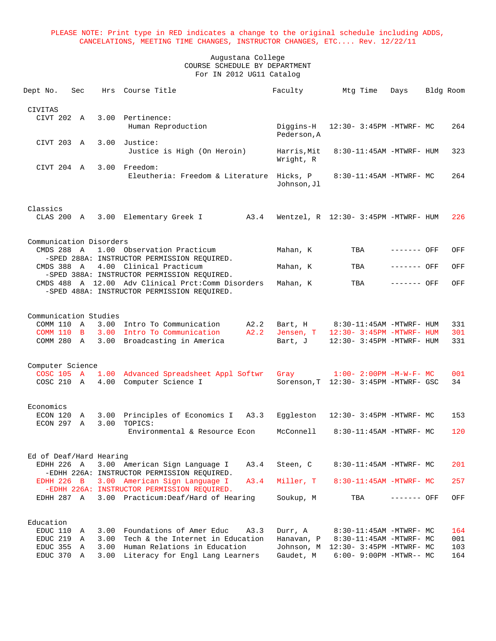| Dept No.                            | Sec               | Hrs          | Course Title                                                                                                                                     | Faculty                  | Mtg Time                                               | Days        | Bldg Room  |
|-------------------------------------|-------------------|--------------|--------------------------------------------------------------------------------------------------------------------------------------------------|--------------------------|--------------------------------------------------------|-------------|------------|
| <b>CIVITAS</b>                      |                   |              |                                                                                                                                                  |                          |                                                        |             |            |
| CIVT 202 A                          |                   | 3.00         | Pertinence:<br>Human Reproduction                                                                                                                | Diggins-H<br>Pederson, A | 12:30- 3:45PM -MTWRF- MC                               |             | 264        |
| CIVT 203 A                          |                   |              | 3.00 Justice:<br>Justice is High (On Heroin)                                                                                                     | Harris, Mit              | 8:30-11:45AM -MTWRF- HUM                               |             | 323        |
| CIVT 204 A                          |                   |              | 3.00 Freedom:                                                                                                                                    | Wright, R                |                                                        |             |            |
|                                     |                   |              | Eleutheria: Freedom & Literature                                                                                                                 | Hicks, P<br>Johnson, Jl  | 8:30-11:45AM -MTWRF- MC                                |             | 264        |
| Classics                            |                   |              |                                                                                                                                                  |                          |                                                        |             |            |
| CLAS 200 A                          |                   |              | 3.00 Elementary Greek I<br>A3.4                                                                                                                  |                          | Wentzel, R 12:30- 3:45PM -MTWRF- HUM                   |             | 226        |
| Communication Disorders             |                   |              |                                                                                                                                                  |                          |                                                        |             |            |
| CMDS 288 A                          |                   |              | 1.00 Observation Practicum<br>-SPED 288A: INSTRUCTOR PERMISSION REQUIRED.                                                                        | Mahan, K                 | TBA                                                    | ------- OFF | OFF        |
| CMDS 388 A                          |                   |              | 4.00 Clinical Practicum                                                                                                                          | Mahan, K                 | TBA                                                    | ------- OFF | OFF        |
|                                     |                   |              | -SPED 388A: INSTRUCTOR PERMISSION REOUIRED.<br>CMDS 488 A 12.00 Adv Clinical Prct: Comm Disorders<br>-SPED 488A: INSTRUCTOR PERMISSION REQUIRED. | Mahan, K                 | TBA                                                    | ------- OFF | OFF        |
|                                     |                   |              |                                                                                                                                                  |                          |                                                        |             |            |
| Communication Studies<br>COMM 110 A |                   |              | 3.00 Intro To Communication<br>A2.2                                                                                                              | Bart, H                  | 8:30-11:45AM -MTWRF- HUM                               |             | 331        |
| COMM 110 B<br>COMM 280 A            |                   | 3.00         | A2.2<br>3.00 Intro To Communication<br>Broadcasting in America                                                                                   | Jensen, T<br>Bart, J     | 12:30- 3:45PM -MTWRF- HUM<br>12:30- 3:45PM -MTWRF- HUM |             | 301<br>331 |
|                                     |                   |              |                                                                                                                                                  |                          |                                                        |             |            |
| Computer Science<br>COSC 105 A      |                   | 1.00         | Advanced Spreadsheet Appl Softwr                                                                                                                 | Gray                     | $1:00-2:00$ PM $-M-W-F-MC$                             |             | 001        |
| COSC 210 A                          |                   | 4.00         | Computer Science I                                                                                                                               |                          | Sorenson, T 12:30- 3:45PM -MTWRF- GSC                  |             | 34         |
| Economics                           |                   |              |                                                                                                                                                  |                          |                                                        |             |            |
| ECON 120<br>ECON 297                | A<br>$\mathbb{A}$ | 3.00<br>3.00 | Principles of Economics I A3.3<br>TOPICS:                                                                                                        | Eggleston                | 12:30- 3:45PM -MTWRF- MC                               |             | 153        |
|                                     |                   |              | Environmental & Resource Econ                                                                                                                    | McConnell                | 8:30-11:45AM -MTWRF- MC                                |             | 120        |
| Ed of Deaf/Hard Hearing             |                   |              |                                                                                                                                                  |                          |                                                        |             |            |
| EDHH 226 A                          |                   |              | 3.00 American Sign Language I<br>A3.4<br>-EDHH 226A: INSTRUCTOR PERMISSION REQUIRED.                                                             | Steen, C                 | 8:30-11:45AM -MTWRF- MC                                |             | 201        |
| <b>EDHH 226 B</b>                   |                   |              | A3.4<br>3.00 American Sign Language I<br>-EDHH 226A: INSTRUCTOR PERMISSION REQUIRED.                                                             | Miller, T                | $8:30-11:45AM - MTWRF - MC$                            |             | 257        |
| EDHH 287 A                          |                   |              | 3.00 Practicum: Deaf/Hard of Hearing                                                                                                             | Soukup, M                | TBA                                                    | ------- OFF | OFF        |
| Education                           |                   |              |                                                                                                                                                  |                          |                                                        |             |            |
| EDUC 110                            | A                 | 3.00         | Foundations of Amer Educ<br>A3.3                                                                                                                 | Durr, A                  | 8:30-11:45AM -MTWRF- MC                                |             | 164        |
| EDUC 219<br>EDUC 355                | Α<br>A            | 3.00<br>3.00 | Tech & the Internet in Education<br>Human Relations in Education                                                                                 | Hanavan, P<br>Johnson, M | 8:30-11:45AM -MTWRF- MC<br>12:30- 3:45PM -MTWRF- MC    |             | 001<br>103 |
| EDUC 370 A                          |                   | 3.00         | Literacy for Engl Lang Learners                                                                                                                  | Gaudet, M                | $6:00 - 9:00PM - MTWR-- MC$                            |             | 164        |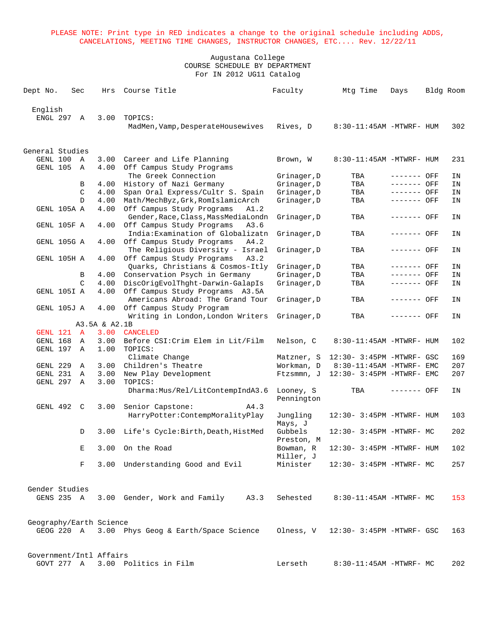| Dept No.                | Sec | Hrs           | Course Title                                                  | Faculty     | Mtg Time                                   | Days         | Bldg Room |
|-------------------------|-----|---------------|---------------------------------------------------------------|-------------|--------------------------------------------|--------------|-----------|
|                         |     |               |                                                               |             |                                            |              |           |
| English                 |     |               |                                                               |             |                                            |              |           |
| ENGL 297 A              |     | 3.00          | TOPICS:                                                       |             |                                            |              |           |
|                         |     |               | MadMen, Vamp, DesperateHousewives                             | Rives, D    | 8:30-11:45AM -MTWRF- HUM                   |              | 302       |
|                         |     |               |                                                               |             |                                            |              |           |
| General Studies         |     |               |                                                               |             |                                            |              |           |
| GENL 100                | A   | 3.00          | Career and Life Planning                                      | Brown, W    | 8:30-11:45AM -MTWRF- HUM                   |              | 231       |
| GENL 105 A              |     |               | 4.00 Off Campus Study Programs                                |             |                                            |              |           |
|                         |     |               | The Greek Connection                                          | Grinager, D | TBA                                        | ------- OFF  | ΙN        |
|                         | B   | 4.00          | History of Nazi Germany                                       | Grinager, D | TBA                                        | ------- OFF  | ΙN        |
|                         |     | 4.00<br>C     | Span Oral Express/Cultr S. Spain                              | Grinager, D | TBA                                        | $------$ OFF | ΙN        |
|                         | D   |               | 4.00 Math/MechByz, Grk, RomIslamicArch                        | Grinager, D | TBA                                        | ------- OFF  | IN        |
| GENL 105A A             |     | 4.00          | Off Campus Study Programs<br>A1.2                             |             |                                            |              |           |
|                         |     |               | Gender, Race, Class, MassMediaLondn                           | Grinager, D | TBA                                        | ------- OFF  | ΙN        |
| GENL 105F A             |     | 4.00          | Off Campus Study Programs<br>A3.6                             |             |                                            |              |           |
|                         |     |               | India: Examination of Globalizatn                             | Grinager, D | TBA                                        | ------- OFF  | IN        |
| GENL 105G A             |     |               | 4.00 Off Campus Study Programs<br>A4.2                        |             |                                            |              |           |
|                         |     |               | The Religious Diversity - Israel<br>A3.2                      | Grinager, D | TBA                                        | ------- OFF  | ΙN        |
| GENL 105H A             |     | 4.00          | Off Campus Study Programs<br>Quarks, Christians & Cosmos-Itly | Grinager, D | TBA                                        | ------- OFF  | IN        |
|                         |     | 4.00<br>B     | Conservation Psych in Germany                                 | Grinager, D | TBA                                        | ------- OFF  | ΙN        |
|                         |     | C             | 4.00 DiscOrigEvolThght-Darwin-GalapIs                         | Grinager, D | TBA                                        | ------- OFF  | IN        |
| GENL 105I A             |     |               | 4.00 Off Campus Study Programs A3.5A                          |             |                                            |              |           |
|                         |     |               | Americans Abroad: The Grand Tour                              | Grinager, D | TBA                                        | ------- OFF  | ΙN        |
| GENL 105J A             |     |               | 4.00 Off Campus Study Program                                 |             |                                            |              |           |
|                         |     |               | Writing in London, London Writers                             | Grinager, D | TBA                                        | ------- OFF  | ΙN        |
|                         |     | A3.5A & A2.1B |                                                               |             |                                            |              |           |
| GENL 121 A              |     |               | 3.00 CANCELED                                                 |             |                                            |              |           |
| GENL 168 A              |     | 3.00          | Before CSI: Crim Elem in Lit/Film                             | Nelson, C   | 8:30-11:45AM -MTWRF- HUM                   |              | 102       |
| GENL 197 A              |     | 1.00          | TOPICS:                                                       |             |                                            |              |           |
|                         |     |               | Climate Change                                                | Matzner, S  | 12:30- 3:45PM -MTWRF- GSC                  |              | 169       |
| GENL 229                | A   | 3.00          | Children's Theatre                                            | Workman, D  | 8:30-11:45AM -MTWRF- EMC                   |              | 207       |
| GENL 231 A              |     | 3.00          | New Play Development                                          | Ftzsmmn, J  | 12:30- 3:45PM -MTWRF- EMC                  |              | 207       |
| GENL 297 A              |     | 3.00          | TOPICS:                                                       |             |                                            |              |           |
|                         |     |               | Dharma: Mus/Rel/LitContempIndA3.6                             | Looney, S   | TBA                                        | ------- OFF  | IN        |
|                         |     |               |                                                               | Pennington  |                                            |              |           |
| GENL 492 C              |     | 3.00          | Senior Capstone:<br>A4.3                                      |             |                                            |              |           |
|                         |     |               | HarryPotter: ContempMoralityPlay                              | Jungling    | 12:30- 3:45PM -MTWRF- HUM                  |              | 103       |
|                         |     |               |                                                               | Mays, J     |                                            |              |           |
|                         | D   |               | 3.00 Life's Cycle: Birth, Death, HistMed                      | Gubbels     | 12:30- 3:45PM -MTWRF- MC                   |              | 202       |
|                         |     |               |                                                               | Preston, M  |                                            |              |           |
|                         |     | E.            | 3.00 On the Road                                              | Bowman, R   | 12:30- 3:45PM -MTWRF- HUM                  |              | 102       |
|                         |     |               |                                                               | Miller, J   |                                            |              |           |
|                         |     | F             | 3.00 Understanding Good and Evil                              | Minister    | 12:30- 3:45PM -MTWRF- MC                   |              | 257       |
|                         |     |               |                                                               |             |                                            |              |           |
| Gender Studies          |     |               |                                                               |             |                                            |              |           |
|                         |     |               | GENS 235 A 3.00 Gender, Work and Family<br>A3.3               | Sehested    | 8:30-11:45AM -MTWRF- MC                    |              | 153       |
|                         |     |               |                                                               |             |                                            |              |           |
|                         |     |               |                                                               |             |                                            |              |           |
| Geography/Earth Science |     |               |                                                               |             |                                            |              |           |
|                         |     |               | GEOG 220 A 3.00 Phys Geog & Earth/Space Science               |             | Olness, $V = 12:30 - 3:45PM - MTWRF - GSC$ |              | 163       |
|                         |     |               |                                                               |             |                                            |              |           |
|                         |     |               |                                                               |             |                                            |              |           |
| Government/Intl Affairs |     |               |                                                               |             |                                            |              |           |
|                         |     |               | GOVT 277 A 3.00 Politics in Film                              | Lerseth     | 8:30-11:45AM -MTWRF- MC                    |              | 202       |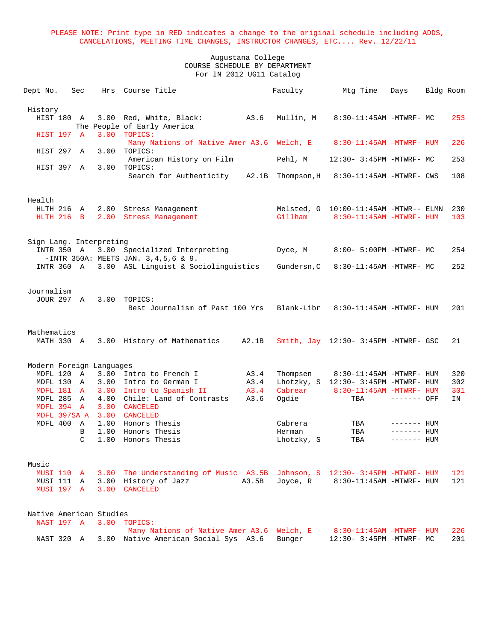| Dept No.                  | Sec            | Hrs                     | Course Title                                                                             |       | Faculty           | Mtg Time                                                          | Days                        | Bldg Room |            |
|---------------------------|----------------|-------------------------|------------------------------------------------------------------------------------------|-------|-------------------|-------------------------------------------------------------------|-----------------------------|-----------|------------|
| History                   |                |                         |                                                                                          |       |                   |                                                                   |                             |           |            |
| HIST 180 A                |                |                         | 3.00 Red, White, Black: A3.6<br>The People of Early America                              |       | Mullin, M         | 8:30-11:45AM -MTWRF- MC                                           |                             |           | 253        |
| HIST 197 A                |                | 3.00                    | TOPICS:<br>Many Nations of Native Amer A3.6 Welch, E 8:30-11:45AM -MTWRF- HUM<br>TOPICS: |       |                   |                                                                   |                             |           | 226        |
| HIST 297 A<br>HIST 397 A  |                | 3.00                    | American History on Film<br>3.00 TOPICS:                                                 |       | Pehl, M           | 12:30- 3:45PM -MTWRF- MC                                          |                             |           | 253        |
|                           |                |                         | Search for Authenticity                                                                  |       | A2.1B Thompson, H | 8:30-11:45AM -MTWRF- CWS                                          |                             |           | 108        |
| Health                    |                |                         |                                                                                          |       |                   |                                                                   |                             |           |            |
| HLTH 216 A<br>HLTH 216    | $\overline{B}$ |                         | 2.00 Stress Management<br>2.00 Stress Management                                         |       | Gillham           | Melsted, G 10:00-11:45AM -MTWR-- ELMN<br>8:30-11:45AM -MTWRF- HUM |                             |           | 230<br>103 |
| INTR 350 A                |                | Sign Lang. Interpreting | 3.00 Specialized Interpreting                                                            |       | Dyce, M           | 8:00- 5:00PM -MTWRF- MC                                           |                             |           | 254        |
| INTR 360 A                |                |                         | $-INTR$ 350A: MEETS JAN. 3,4,5,6 & 9.<br>3.00 ASL Linguist & Sociolinguistics            |       | Gundersn, C       | 8:30-11:45AM -MTWRF- MC                                           |                             |           | 252        |
|                           |                |                         |                                                                                          |       |                   |                                                                   |                             |           |            |
| Journalism<br>JOUR 297 A  |                | 3.00                    | TOPICS:<br>Best Journalism of Past 100 Yrs                                               |       | Blank-Libr        | 8:30-11:45AM -MTWRF- HUM                                          |                             |           | 201        |
|                           |                |                         |                                                                                          |       |                   |                                                                   |                             |           |            |
| Mathematics<br>MATH 330 A |                |                         | 3.00 History of Mathematics                                                              | A2.1B |                   | Smith, Jay 12:30- 3:45PM -MTWRF- GSC                              |                             |           | 21         |
| Modern Foreign Languages  |                |                         |                                                                                          |       |                   |                                                                   |                             |           |            |
| MDFL 120 A                |                |                         | 3.00 Intro to French I                                                                   | A3.4  | Thompsen          | 8:30-11:45AM -MTWRF- HUM                                          |                             |           | 320        |
| MDFL 130 A                |                |                         | 3.00 Intro to German I                                                                   | A3.4  |                   | Lhotzky, S 12:30- 3:45PM -MTWRF- HUM                              |                             |           | 302        |
| MDFL 181 A                |                |                         | 3.00 Intro to Spanish II<br>Chile: Land of Contrasts                                     | A3.4  | Cabrear           | 8:30-11:45AM -MTWRF- HUM                                          |                             |           | 301        |
| MDFL 285 A<br>MDFL 394 A  |                | 4.00<br>3.00            | CANCELED                                                                                 | A3.6  | Ogdie             | TBA                                                               | ------- OFF                 |           | IN         |
|                           |                |                         |                                                                                          |       |                   |                                                                   |                             |           |            |
| MDFL 397SA A<br>MDFL 400  | A              |                         | 3.00 CANCELED<br>1.00 Honors Thesis                                                      |       | Cabrera           | TBA                                                               |                             |           |            |
|                           | В              | 1.00                    | Honors Thesis                                                                            |       | Herman            | TBA                                                               | $------$ HUM<br>------- HUM |           |            |
|                           | C              | 1.00                    | Honors Thesis                                                                            |       | Lhotzky, S        | TBA                                                               | $------$ HUM                |           |            |
| Music                     |                |                         |                                                                                          |       |                   |                                                                   |                             |           |            |
| <b>MUSI 110 A</b>         |                |                         | 3.00 The Understanding of Music A3.5B Johnson, S 12:30- 3:45PM -MTWRF- HUM               |       |                   |                                                                   |                             |           | 121        |
| MUSI 111 A                |                | 3.00                    | History of Jazz                                                                          | A3.5B | Joyce, R          | 8:30-11:45AM -MTWRF- HUM                                          |                             |           | 121        |
| MUSI 197 A                |                | 3.00                    | CANCELED                                                                                 |       |                   |                                                                   |                             |           |            |
| Native American Studies   |                |                         |                                                                                          |       |                   |                                                                   |                             |           |            |
| NAST 197 A                |                |                         | 3.00 TOPICS:<br>Many Nations of Native Amer A3.6 Welch, E                                |       |                   | 8:30-11:45AM -MTWRF- HUM                                          |                             |           | 226        |
| NAST 320 A                |                |                         | 3.00 Native American Social Sys A3.6                                                     |       | Bunger            | 12:30- 3:45PM -MTWRF- MC                                          |                             |           | 201        |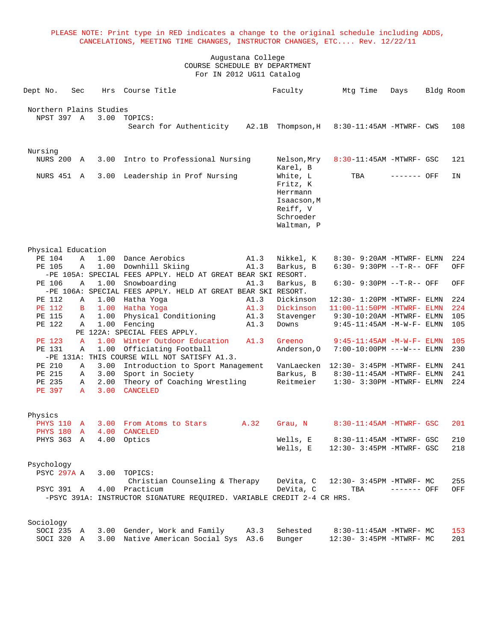|                                       |                   |              | PLEASE NOTE: Print type in RED indicates a change to the original schedule including ADDS,<br>CANCELATIONS, MEETING TIME CHANGES, INSTRUCTOR CHANGES, ETC Rev. 12/22/11 |                   |                                                                                                    |                                                              |              |           |            |
|---------------------------------------|-------------------|--------------|-------------------------------------------------------------------------------------------------------------------------------------------------------------------------|-------------------|----------------------------------------------------------------------------------------------------|--------------------------------------------------------------|--------------|-----------|------------|
|                                       |                   |              | COURSE SCHEDULE BY DEPARTMENT<br>For IN 2012 UG11 Catalog                                                                                                               | Augustana College |                                                                                                    |                                                              |              |           |            |
| Dept No.                              | Sec               | Hrs          | Course Title                                                                                                                                                            |                   | Faculty                                                                                            | Mtg Time                                                     | Days         | Bldg Room |            |
| Northern Plains Studies<br>NPST 397 A |                   | 3.00         | TOPICS:<br>Search for Authenticity A2.1B Thompson, H                                                                                                                    |                   |                                                                                                    | $8:30-11:45AM$ -MTWRF- CWS                                   |              |           | 108        |
| Nursing<br><b>NURS 200 A</b>          |                   | 3.00         | Intro to Professional Nursing                                                                                                                                           |                   | Nelson, Mry                                                                                        | $8:30-11:45AM$ -MTWRF- GSC                                   |              |           | 121        |
| NURS 451                              | A                 | 3.00         | Leadership in Prof Nursing                                                                                                                                              |                   | Karel, B<br>White, L<br>Fritz, K<br>Herrmann<br>Isaacson, M<br>Reiff, V<br>Schroeder<br>Waltman, P | TBA                                                          | ------- OFF  |           | ΙN         |
| Physical Education                    |                   |              |                                                                                                                                                                         |                   |                                                                                                    |                                                              |              |           |            |
| PE 104<br>PE 105                      | $\mathbb{A}$<br>Α | 1.00         | 1.00 Dance Aerobics<br>Downhill Skiing<br>-PE 105A: SPECIAL FEES APPLY. HELD AT GREAT BEAR SKI RESORT.                                                                  | A1.3<br>A1.3      | Nikkel, K<br>Barkus, B                                                                             | 8:30- 9:20AM -MTWRF- ELMN<br>$6:30 - 9:30PM -T-R--$ OFF      |              |           | 224<br>OFF |
| PE 106                                | Α                 | 1.00         | Snowboarding<br>-PE 106A: SPECIAL FEES APPLY. HELD AT GREAT BEAR SKI RESORT.                                                                                            | A1.3              | Barkus, B                                                                                          | $6:30 - 9:30PM -T-R--$ OFF                                   |              |           | OFF        |
| PE 112                                | A                 | 1.00         | Hatha Yoga                                                                                                                                                              | A1.3              | Dickinson                                                                                          | 12:30- 1:20PM -MTWRF- ELMN                                   |              |           | 224        |
| <b>PE 112</b><br>PE 115               | B<br>Α            | 1.00<br>1.00 | Hatha Yoga<br>Physical Conditioning                                                                                                                                     | A1.3<br>A1.3      | Dickinson<br>Stavenger                                                                             | $11:00-11:50PM$ -MTWRF- ELMN<br>$9:30-10:20$ AM -MTWRF- ELMN |              |           | 224<br>105 |
| PE 122                                | Α                 | 1.00         | Fencing<br>PE 122A: SPECIAL FEES APPLY.                                                                                                                                 | A1.3              | Downs                                                                                              | $9:45 - 11:45$ AM $-M-W-F-$ ELMN                             |              |           | 105        |
| <b>PE 123</b>                         | $\mathbf{A}$      |              | 1.00 Winter Outdoor Education                                                                                                                                           | A1.3              | Greeno                                                                                             | $9:45-11:45AM -M-W-F- ELMN$                                  |              |           | 105        |
| PE 131                                | Α                 | 1.00         | Officiating Football<br>-PE 131A: THIS COURSE WILL NOT SATISFY A1.3.                                                                                                    |                   | Anderson, 0                                                                                        | 7:00-10:00PM ---W--- ELMN                                    |              |           | 230        |
| PE 210                                | Α                 | 3.00         | Introduction to Sport Management                                                                                                                                        |                   | VanLaecken                                                                                         | $12:30 - 3:45PM - MTWRF - ELMN$                              |              |           | 241        |
| PE 215<br>PE 235<br>PE 397            | Α<br>Α<br>A       | 3.00<br>2.00 | Sport in Society<br>Theory of Coaching Wrestling<br>3.00 CANCELED                                                                                                       |                   | Barkus, B<br>Reitmeier                                                                             | $8:30-11:45AM$ -MTWRF- ELMN<br>$1:30-3:30PM -MTWRF - ELMN$   |              |           | 241<br>224 |
| Physics                               |                   |              |                                                                                                                                                                         |                   |                                                                                                    |                                                              |              |           |            |
| PHYS 110 A<br>PHYS 180 A              |                   |              | 3.00 From Atoms to Stars A.32<br>4.00 CANCELED                                                                                                                          |                   | Grau, N                                                                                            | 8:30-11:45AM -MTWRF- GSC                                     |              |           | 201        |
| PHYS 363 A                            |                   |              | 4.00 Optics                                                                                                                                                             |                   | Wells, E<br>Wells, E                                                                               | 8:30-11:45AM -MTWRF- GSC<br>12:30- 3:45PM -MTWRF- GSC        |              |           | 210<br>218 |
| Psychology<br>PSYC 297A A             |                   |              | 3.00 TOPICS:<br>Christian Counseling & Therapy                                                                                                                          |                   |                                                                                                    | DeVita, C   12:30- 3:45PM -MTWRF- MC                         |              |           | 255        |
| PSYC 391 A                            |                   |              | 4.00 Practicum<br>-PSYC 391A: INSTRUCTOR SIGNATURE REQUIRED. VARIABLE CREDIT 2-4 CR HRS.                                                                                |                   | DeVita, C                                                                                          | TBA                                                          | $------$ OFF |           | OFF        |
| Sociology                             |                   |              |                                                                                                                                                                         |                   |                                                                                                    |                                                              |              |           |            |
| SOCI 235 A<br>SOCI 320 A              |                   |              | 3.00 Gender, Work and Family<br>3.00 Native American Social Sys A3.6                                                                                                    | A3.3              | Sehested<br>Bunger                                                                                 | 8:30-11:45AM -MTWRF- MC<br>12:30- 3:45PM -MTWRF- MC          |              |           | 153<br>201 |